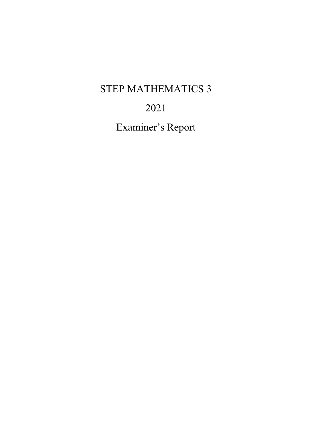# STEP MATHEMATICS 3

# 2021

Examiner's Report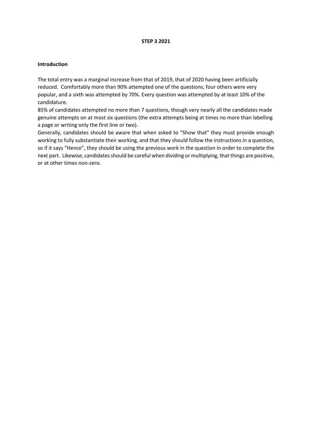#### **STEP 3 2021**

#### **Introduction**

The total entry was a marginal increase from that of 2019, that of 2020 having been artificially reduced. Comfortably more than 90% attempted one of the questions, four others were very popular, and a sixth was attempted by 70%. Every question was attempted by at least 10% of the candidature.

85% of candidates attempted no more than 7 questions, though very nearly all the candidates made genuine attempts on at most six questions (the extra attempts being at times no more than labelling a page or writing only the first line or two).

Generally, candidates should be aware that when asked to "Show that" they must provide enough working to fully substantiate their working, and that they should follow the instructions in a question, so if it says "Hence", they should be using the previous work in the question in order to complete the next part. Likewise, candidates should be careful when dividing or multiplying, that things are positive, or at other times non-zero.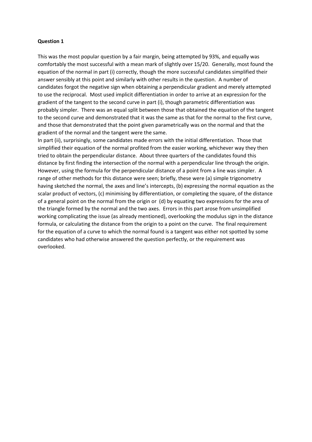This was the most popular question by a fair margin, being attempted by 93%, and equally was comfortably the most successful with a mean mark of slightly over 15/20. Generally, most found the equation of the normal in part (i) correctly, though the more successful candidates simplified their answer sensibly at this point and similarly with other results in the question. A number of candidates forgot the negative sign when obtaining a perpendicular gradient and merely attempted to use the reciprocal. Most used implicit differentiation in order to arrive at an expression for the gradient of the tangent to the second curve in part (i), though parametric differentiation was probably simpler. There was an equal split between those that obtained the equation of the tangent to the second curve and demonstrated that it was the same as that for the normal to the first curve, and those that demonstrated that the point given parametrically was on the normal and that the gradient of the normal and the tangent were the same.

In part (ii), surprisingly, some candidates made errors with the initial differentiation. Those that simplified their equation of the normal profited from the easier working, whichever way they then tried to obtain the perpendicular distance. About three quarters of the candidates found this distance by first finding the intersection of the normal with a perpendicular line through the origin. However, using the formula for the perpendicular distance of a point from a line was simpler. A range of other methods for this distance were seen; briefly, these were (a) simple trigonometry having sketched the normal, the axes and line's intercepts, (b) expressing the normal equation as the scalar product of vectors, (c) minimising by differentiation, or completing the square, of the distance of a general point on the normal from the origin or (d) by equating two expressions for the area of the triangle formed by the normal and the two axes. Errors in this part arose from unsimplified working complicating the issue (as already mentioned), overlooking the modulus sign in the distance formula, or calculating the distance from the origin to a point on the curve. The final requirement for the equation of a curve to which the normal found is a tangent was either not spotted by some candidates who had otherwise answered the question perfectly, or the requirement was overlooked.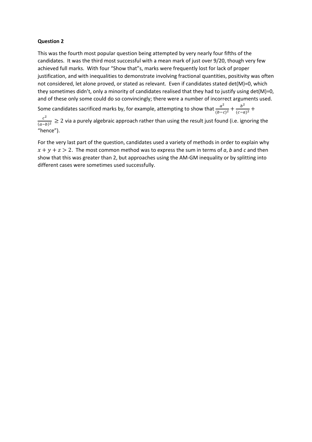This was the fourth most popular question being attempted by very nearly four fifths of the candidates. It was the third most successful with a mean mark of just over 9/20, though very few achieved full marks. With four "Show that"s, marks were frequently lost for lack of proper justification, and with inequalities to demonstrate involving fractional quantities, positivity was often not considered, let alone proved, or stated as relevant. Even if candidates stated det(M)=0, which they sometimes didn't, only a minority of candidates realised that they had to justify using det(M)=0, and of these only some could do so convincingly; there were a number of incorrect arguments used.

Some candidates sacrificed marks by, for example, attempting to show that  $\frac{a^2}{(b-c)^2} + \frac{b^2}{(c-a)^2} + \frac{c^2}{(c-a)^2}$ 

 $\frac{c^2}{(a-b)^2}$  ≥ 2 via a purely algebraic approach rather than using the result just found (i.e. ignoring the "hence").

For the very last part of the question, candidates used a variety of methods in order to explain why  $x + y + z > 2$ . The most common method was to express the sum in terms of *a*, *b* and *c* and then show that this was greater than 2, but approaches using the AM-GM inequality or by splitting into different cases were sometimes used successfully.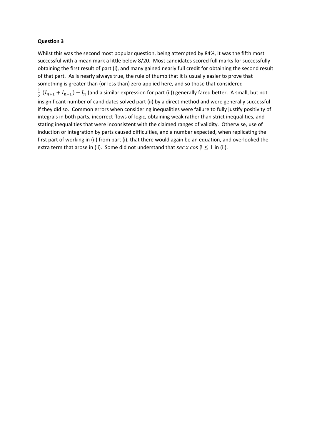Whilst this was the second most popular question, being attempted by 84%, it was the fifth most successful with a mean mark a little below 8/20. Most candidates scored full marks for successfully obtaining the first result of part (i), and many gained nearly full credit for obtaining the second result of that part. As is nearly always true, the rule of thumb that it is usually easier to prove that something is greater than (or less than) zero applied here, and so those that considered  $\frac{1}{2}(I_{n+1}+I_{n-1})-I_n$  (and a similar expression for part (ii)) generally fared better. A small, but not insignificant number of candidates solved part (ii) by a direct method and were generally successful if they did so. Common errors when considering inequalities were failure to fully justify positivity of integrals in both parts, incorrect flows of logic, obtaining weak rather than strict inequalities, and stating inequalities that were inconsistent with the claimed ranges of validity. Otherwise, use of induction or integration by parts caused difficulties, and a number expected, when replicating the first part of working in (ii) from part (i), that there would again be an equation, and overlooked the extra term that arose in (ii). Some did not understand that  $\sec x \cos \beta \le 1$  in (ii).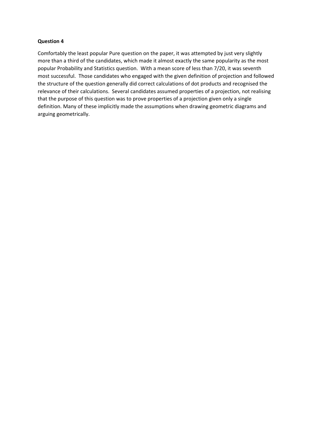Comfortably the least popular Pure question on the paper, it was attempted by just very slightly more than a third of the candidates, which made it almost exactly the same popularity as the most popular Probability and Statistics question. With a mean score of less than 7/20, it was seventh most successful. Those candidates who engaged with the given definition of projection and followed the structure of the question generally did correct calculations of dot products and recognised the relevance of their calculations. Several candidates assumed properties of a projection, not realising that the purpose of this question was to prove properties of a projection given only a single definition. Many of these implicitly made the assumptions when drawing geometric diagrams and arguing geometrically.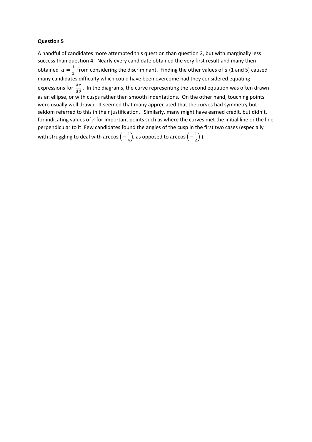A handful of candidates more attempted this question than question 2, but with marginally less success than question 4. Nearly every candidate obtained the very first result and many then obtained  $a=\frac{1}{2}$  from considering the discriminant. Finding the other values of a (1 and 5) caused 2 many candidates difficulty which could have been overcome had they considered equating expressions for  $\frac{dr}{d\theta}$ . In the diagrams, the curve representing the second equation was often drawn as an ellipse, or with cusps rather than smooth indentations. On the other hand, touching points were usually well drawn. It seemed that many appreciated that the curves had symmetry but seldom referred to this in their justification. Similarly, many might have earned credit, but didn't, for indicating values of  $r$  for important points such as where the curves met the initial line or the line perpendicular to it. Few candidates found the angles of the cusp in the first two cases (especially with struggling to deal with  $\arccos\left(-\frac{1}{4}\right)$ , as opposed to  $\arccos\left(-\frac{1}{2}\right)$ ).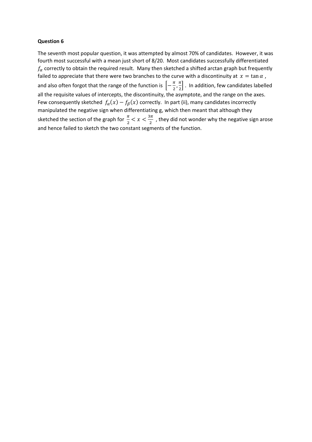The seventh most popular question, it was attempted by almost 70% of candidates. However, it was fourth most successful with a mean just short of 8/20. Most candidates successfully differentiated  $f_\alpha$  correctly to obtain the required result. Many then sketched a shifted arctan graph but frequently failed to appreciate that there were two branches to the curve with a discontinuity at  $x = \tan \alpha$ , and also often forgot that the range of the function is  $\left[-\frac{\pi}{2},\frac{\pi}{2}\right]$  $\frac{\pi}{2}$ . In addition, few candidates labelled all the requisite values of intercepts, the discontinuity, the asymptote, and the range on the axes. Few consequently sketched  $f_{\alpha}(x) - f_{\beta}(x)$  correctly. In part (ii), many candidates incorrectly manipulated the negative sign when differentiating g, which then meant that although they sketched the section of the graph for  $\frac{\pi}{2} < x < \frac{3\pi}{2}$  , they did not wonder why the negative sign arose and hence failed to sketch the two constant segments of the function.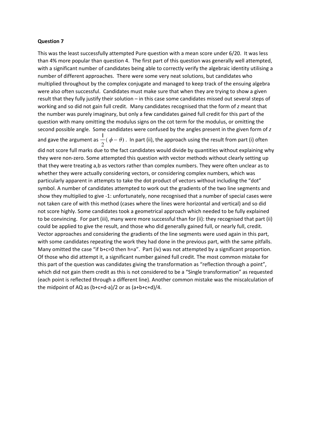This was the least successfully attempted Pure question with a mean score under 6/20. It was less than 4% more popular than question 4. The first part of this question was generally well attempted, with a significant number of candidates being able to correctly verify the algebraic identity utilising a number of different approaches. There were some very neat solutions, but candidates who multiplied throughout by the complex conjugate and managed to keep track of the ensuing algebra were also often successful. Candidates must make sure that when they are trying to show a given result that they fully justify their solution – in this case some candidates missed out several steps of working and so did not gain full credit. Many candidates recognised that the form of *z* meant that the number was purely imaginary, but only a few candidates gained full credit for this part of the question with many omitting the modulus signs on the cot term for the modulus, or omitting the second possible angle. Some candidates were confused by the angles present in the given form of *z* and gave the argument as  $\frac{1}{2}(\phi - \theta)$ . In part (ii), the approach using the result from part (i) often did not score full marks due to the fact candidates would divide by quantities without explaining why they were non-zero. Some attempted this question with vector methods without clearly setting up that they were treating a,b as vectors rather than complex numbers. They were often unclear as to whether they were actually considering vectors, or considering complex numbers, which was particularly apparent in attempts to take the dot product of vectors without including the "dot" symbol. A number of candidates attempted to work out the gradients of the two line segments and show they multiplied to give -1: unfortunately, none recognised that a number of special cases were not taken care of with this method (cases where the lines were horizontal and vertical) and so did not score highly. Some candidates took a geometrical approach which needed to be fully explained to be convincing. For part (iii), many were more successful than for (ii): they recognised that part (ii) could be applied to give the result, and those who did generally gained full, or nearly full, credit. Vector approaches and considering the gradients of the line segments were used again in this part, with some candidates repeating the work they had done in the previous part, with the same pitfalls. Many omitted the case "if b+c=0 then h=a". Part (iv) was not attempted by a significant proportion. Of those who did attempt it, a significant number gained full credit. The most common mistake for this part of the question was candidates giving the transformation as "reflection through a point", which did not gain them credit as this is not considered to be a "Single transformation" as requested (each point is reflected through a different line). Another common mistake was the miscalculation of the midpoint of AQ as (b+c+d-a)/2 or as (a+b+c+d)/4.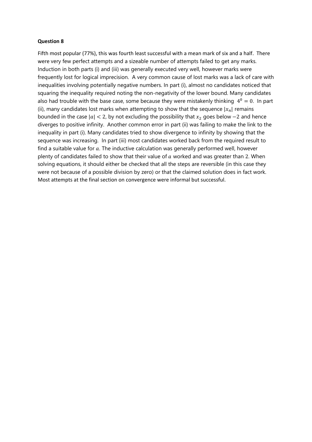Fifth most popular (77%), this was fourth least successful with a mean mark of six and a half. There were very few perfect attempts and a sizeable number of attempts failed to get any marks. Induction in both parts (i) and (iii) was generally executed very well, however marks were frequently lost for logical imprecision. A very common cause of lost marks was a lack of care with inequalities involving potentially negative numbers. In part (i), almost no candidates noticed that squaring the inequality required noting the non-negativity of the lower bound. Many candidates also had trouble with the base case, some because they were mistakenly thinking  $4^0 = 0$ . In part (ii), many candidates lost marks when attempting to show that the sequence  $|x_n|$  remains bounded in the case  $|a| < 2$ , by not excluding the possibility that  $x_2$  goes below  $-2$  and hence diverges to positive infinity. Another common error in part (ii) was failing to make the link to the inequality in part (i). Many candidates tried to show divergence to infinity by showing that the sequence was increasing. In part (iii) most candidates worked back from the required result to find a suitable value for  $a$ . The inductive calculation was generally performed well, however plenty of candidates failed to show that their value of  $a$  worked and was greater than 2. When solving equations, it should either be checked that all the steps are reversible (in this case they were not because of a possible division by zero) or that the claimed solution does in fact work. Most attempts at the final section on convergence were informal but successful.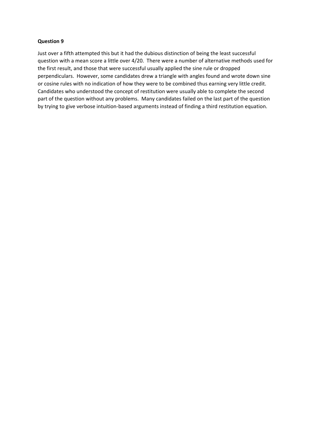Just over a fifth attempted this but it had the dubious distinction of being the least successful question with a mean score a little over 4/20. There were a number of alternative methods used for the first result, and those that were successful usually applied the sine rule or dropped perpendiculars. However, some candidates drew a triangle with angles found and wrote down sine or cosine rules with no indication of how they were to be combined thus earning very little credit. Candidates who understood the concept of restitution were usually able to complete the second part of the question without any problems. Many candidates failed on the last part of the question by trying to give verbose intuition-based arguments instead of finding a third restitution equation.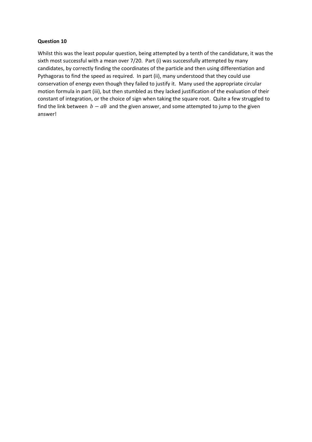Whilst this was the least popular question, being attempted by a tenth of the candidature, it was the sixth most successful with a mean over 7/20. Part (i) was successfully attempted by many candidates, by correctly finding the coordinates of the particle and then using differentiation and Pythagoras to find the speed as required. In part (ii), many understood that they could use conservation of energy even though they failed to justify it. Many used the appropriate circular motion formula in part (iii), but then stumbled as they lacked justification of the evaluation of their constant of integration, or the choice of sign when taking the square root. Quite a few struggled to find the link between  $b - a\theta$  and the given answer, and some attempted to jump to the given answer!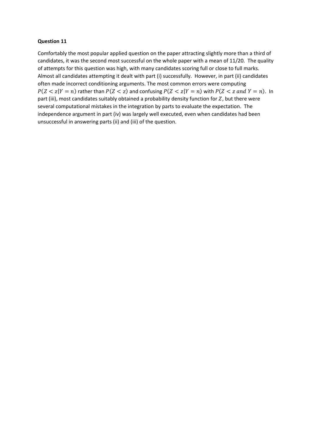Comfortably the most popular applied question on the paper attracting slightly more than a third of candidates, it was the second most successful on the whole paper with a mean of 11/20. The quality of attempts for this question was high, with many candidates scoring full or close to full marks. Almost all candidates attempting it dealt with part (i) successfully. However, in part (ii) candidates often made incorrect conditioning arguments. The most common errors were computing  $P(Z < z | Y = n)$  rather than  $P(Z < z)$  and confusing  $P(Z < z | Y = n)$  with  $P(Z < z \text{ and } Y = n)$ . In part (iii), most candidates suitably obtained a probability density function for  $Z$ , but there were several computational mistakes in the integration by parts to evaluate the expectation. The independence argument in part (iv) was largely well executed, even when candidates had been unsuccessful in answering parts (ii) and (iii) of the question.